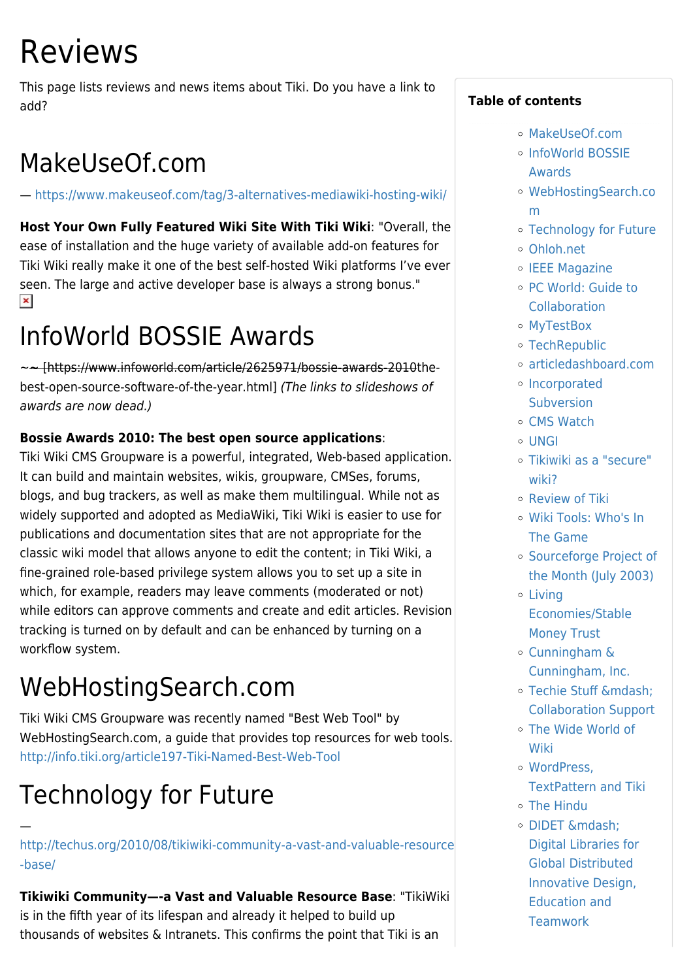# Reviews

This page lists reviews and news items about Tiki. Do you have a link to add?

## MakeUseOf.com

—<https://www.makeuseof.com/tag/3-alternatives-mediawiki-hosting-wiki/>

**Host Your Own Fully Featured Wiki Site With Tiki Wiki**: "Overall, the ease of installation and the huge variety of available add-on features for Tiki Wiki really make it one of the best self-hosted Wiki platforms I've ever seen. The large and active developer base is always a strong bonus."  $\pmb{\times}$ 

## InfoWorld BOSSIE Awards

~~ [https://www.infoworld.com/article/2625971/bossie-awards-2010thebest-open-source-software-of-the-year.html] (The links to slideshows of awards are now dead.)

#### **Bossie Awards 2010: The best open source applications**:

Tiki Wiki CMS Groupware is a powerful, integrated, Web-based application. It can build and maintain websites, wikis, groupware, CMSes, forums, blogs, and bug trackers, as well as make them multilingual. While not as widely supported and adopted as MediaWiki, Tiki Wiki is easier to use for publications and documentation sites that are not appropriate for the classic wiki model that allows anyone to edit the content; in Tiki Wiki, a fine-grained role-based privilege system allows you to set up a site in which, for example, readers may leave comments (moderated or not) while editors can approve comments and create and edit articles. Revision tracking is turned on by default and can be enhanced by turning on a workflow system.

## WebHostingSearch.com

Tiki Wiki CMS Groupware was recently named "Best Web Tool" by WebHostingSearch.com, a guide that provides top resources for web tools. <http://info.tiki.org/article197-Tiki-Named-Best-Web-Tool>

## Technology for Future

—

[http://techus.org/2010/08/tikiwiki-community-a-vast-and-valuable-resource](http://techus.org/2010/08/tikiwiki-community-a-vast-and-valuable-resource-base/) [-base/](http://techus.org/2010/08/tikiwiki-community-a-vast-and-valuable-resource-base/)

**Tikiwiki Community—-a Vast and Valuable Resource Base**: "TikiWiki is in the fifth year of its lifespan and already it helped to build up thousands of websites & Intranets. This confirms the point that Tiki is an

#### **Table of contents**

- [MakeUseOf.com](#MakeUseOf.com)
- [InfoWorld BOSSIE](#page--1-0) [Awards](#page--1-0)
- [WebHostingSearch.co](#WebHostingSearch.com) [m](#WebHostingSearch.com)
- [Technology for Future](#page--1-0)
- [Ohloh.net](#Ohloh.net)
- o [IEEE Magazine](#page--1-0)
- [PC World: Guide to](#page--1-0) **[Collaboration](#page--1-0)**
- [MyTestBox](#page--1-0)
- [TechRepublic](#page--1-0)
- [articledashboard.com](#articledashboard.com)
- [Incorporated](#page--1-0) **[Subversion](#page--1-0)**
- [CMS Watch](#page--1-0)
- $\circ$  [UNGI](#page--1-0)
- [Tikiwiki as a "secure"](#page--1-0) [wiki?](#page--1-0)
- [Review of Tiki](#page--1-0)
- [Wiki Tools: Who's In](#page--1-0) [The Game](#page--1-0)
- [Sourceforge Project of](#page--1-0) [the Month \(July 2003\)](#page--1-0)
- [Living](#page--1-0) [Economies/Stable](#page--1-0) [Money Trust](#page--1-0)
- [Cunningham &](#Cunningham_REAL_AMP_Cunningham_Inc.) [Cunningham, Inc.](#Cunningham_REAL_AMP_Cunningham_Inc.)
- o Techie Stuff & mdash; [Collaboration Support](#page--1-0)
- [The Wide World of](#page--1-0) [Wiki](#page--1-0)
- [WordPress,](#page--1-0) [TextPattern and Tiki](#page--1-0)
- [The Hindu](#page--1-0)
- o [DIDET —](#page--1-0) [Digital Libraries for](#page--1-0) [Global Distributed](#page--1-0) [Innovative Design,](#page--1-0) [Education and](#page--1-0) **[Teamwork](#page--1-0)**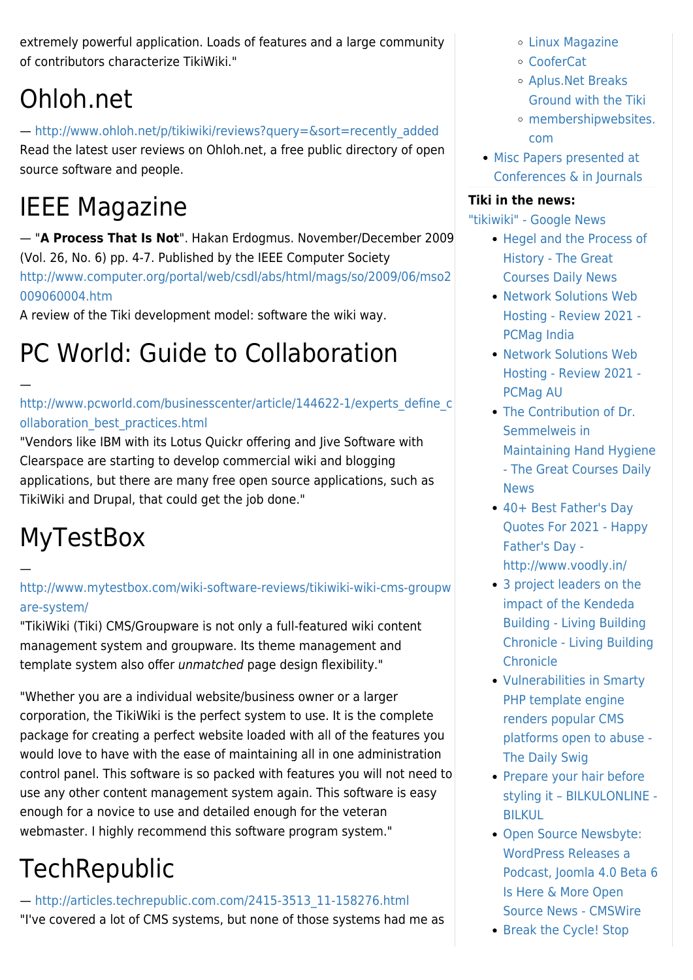extremely powerful application. Loads of features and a large community of contributors characterize TikiWiki."

## Ohloh.net

#### — [http://www.ohloh.net/p/tikiwiki/reviews?query=&sort=recently\\_added](http://www.ohloh.net/p/tikiwiki/reviews?query=&sort=recently_added) Read the latest user reviews on Ohloh.net, a free public directory of open source software and people.

## IEEE Magazine

— "**A Process That Is Not**". Hakan Erdogmus. November/December 2009 (Vol. 26, No. 6) pp. 4-7. Published by the IEEE Computer Society [http://www.computer.org/portal/web/csdl/abs/html/mags/so/2009/06/mso2](http://www.computer.org/portal/web/csdl/abs/html/mags/so/2009/06/mso2009060004.htm) [009060004.htm](http://www.computer.org/portal/web/csdl/abs/html/mags/so/2009/06/mso2009060004.htm)

A review of the Tiki development model: software the wiki way.

## PC World: Guide to Collaboration

#### [http://www.pcworld.com/businesscenter/article/144622-1/experts\\_define\\_c](http://www.pcworld.com/businesscenter/article/144622-1/experts_define_collaboration_best_practices.html) [ollaboration\\_best\\_practices.html](http://www.pcworld.com/businesscenter/article/144622-1/experts_define_collaboration_best_practices.html)

"Vendors like IBM with its Lotus Quickr offering and Jive Software with Clearspace are starting to develop commercial wiki and blogging applications, but there are many free open source applications, such as TikiWiki and Drupal, that could get the job done."

## **MyTestBox**

—

—

[http://www.mytestbox.com/wiki-software-reviews/tikiwiki-wiki-cms-groupw](http://www.mytestbox.com/wiki-software-reviews/tikiwiki-wiki-cms-groupware-system/) [are-system/](http://www.mytestbox.com/wiki-software-reviews/tikiwiki-wiki-cms-groupware-system/)

"TikiWiki (Tiki) CMS/Groupware is not only a full-featured wiki content management system and groupware. Its theme management and template system also offer unmatched page design flexibility."

"Whether you are a individual website/business owner or a larger corporation, the TikiWiki is the perfect system to use. It is the complete package for creating a perfect website loaded with all of the features you would love to have with the ease of maintaining all in one administration control panel. This software is so packed with features you will not need to use any other content management system again. This software is easy enough for a novice to use and detailed enough for the veteran webmaster. I highly recommend this software program system."

## **TechRepublic**

— [http://articles.techrepublic.com.com/2415-3513\\_11-158276.html](http://articles.techrepublic.com.com/2415-3513_11-158276.html) "I've covered a lot of CMS systems, but none of those systems had me as

- [Linux Magazine](#page--1-0)
- [CooferCat](#page--1-0)
- [Aplus.Net Breaks](#Aplus.Net_Breaks_Ground_with_the_Tiki) [Ground with the Tiki](#Aplus.Net_Breaks_Ground_with_the_Tiki)
- [membershipwebsites.](#membershipwebsites.com) [com](#membershipwebsites.com)
- [Misc Papers presented at](#page--1-0) [Conferences & in Journals](#page--1-0)

#### **Tiki in the news:**

["tikiwiki" - Google News](https://news.google.com/search?pz=1&cf=all&hl=en-US&q=tikiwiki&cf=all&gl=US&ceid=US:en)

- [Hegel and the Process of](https://www.thegreatcoursesdaily.com/hegel-and-the-process-of-history/) [History - The Great](https://www.thegreatcoursesdaily.com/hegel-and-the-process-of-history/) [Courses Daily News](https://www.thegreatcoursesdaily.com/hegel-and-the-process-of-history/)
- [Network Solutions Web](https://in.pcmag.com/web-hosting/40384/network-solutions-web-hosting) [Hosting - Review 2021 -](https://in.pcmag.com/web-hosting/40384/network-solutions-web-hosting) [PCMag India](https://in.pcmag.com/web-hosting/40384/network-solutions-web-hosting)
- [Network Solutions Web](https://au.pcmag.com/web-hosting/24137/network-solutions-web-hosting) [Hosting - Review 2021 -](https://au.pcmag.com/web-hosting/24137/network-solutions-web-hosting) [PCMag AU](https://au.pcmag.com/web-hosting/24137/network-solutions-web-hosting)
- [The Contribution of Dr.](https://www.thegreatcoursesdaily.com/the-contribution-of-dr-semmelweis-in-maintaining-hand-hygiene/) [Semmelweis in](https://www.thegreatcoursesdaily.com/the-contribution-of-dr-semmelweis-in-maintaining-hand-hygiene/) [Maintaining Hand Hygiene](https://www.thegreatcoursesdaily.com/the-contribution-of-dr-semmelweis-in-maintaining-hand-hygiene/) [- The Great Courses Daily](https://www.thegreatcoursesdaily.com/the-contribution-of-dr-semmelweis-in-maintaining-hand-hygiene/) [News](https://www.thegreatcoursesdaily.com/the-contribution-of-dr-semmelweis-in-maintaining-hand-hygiene/)
- [40+ Best Father's Day](https://www.voodly.in/40-fathers-day-quotes-in-english-2021/) [Quotes For 2021 - Happy](https://www.voodly.in/40-fathers-day-quotes-in-english-2021/) [Father's Day](https://www.voodly.in/40-fathers-day-quotes-in-english-2021/)  [http://www.voodly.in/](https://www.voodly.in/40-fathers-day-quotes-in-english-2021/)
- [3 project leaders on the](https://livingbuilding.kendedafund.org/2021/04/23/3-project-leaders-impact-kendeda-building/) [impact of the Kendeda](https://livingbuilding.kendedafund.org/2021/04/23/3-project-leaders-impact-kendeda-building/) [Building - Living Building](https://livingbuilding.kendedafund.org/2021/04/23/3-project-leaders-impact-kendeda-building/) [Chronicle - Living Building](https://livingbuilding.kendedafund.org/2021/04/23/3-project-leaders-impact-kendeda-building/) **[Chronicle](https://livingbuilding.kendedafund.org/2021/04/23/3-project-leaders-impact-kendeda-building/)**
- [Vulnerabilities in Smarty](https://portswigger.net/daily-swig/vulnerabilities-in-smarty-php-template-engine-renders-cms-platforms-open-to-abuse) [PHP template engine](https://portswigger.net/daily-swig/vulnerabilities-in-smarty-php-template-engine-renders-cms-platforms-open-to-abuse) [renders popular CMS](https://portswigger.net/daily-swig/vulnerabilities-in-smarty-php-template-engine-renders-cms-platforms-open-to-abuse) [platforms open to abuse -](https://portswigger.net/daily-swig/vulnerabilities-in-smarty-php-template-engine-renders-cms-platforms-open-to-abuse) [The Daily Swig](https://portswigger.net/daily-swig/vulnerabilities-in-smarty-php-template-engine-renders-cms-platforms-open-to-abuse)
- [Prepare your hair before](https://bilkulonline.com/2021/02/19/lacus-ultricies/) [styling it – BILKULONLINE -](https://bilkulonline.com/2021/02/19/lacus-ultricies/) [BILKUL](https://bilkulonline.com/2021/02/19/lacus-ultricies/)
- [Open Source Newsbyte:](https://www.cmswire.com/web-cms/wordpress-releases-a-podcast-joomla-40-beta-6-is-here-more-open-source-news/) [WordPress Releases a](https://www.cmswire.com/web-cms/wordpress-releases-a-podcast-joomla-40-beta-6-is-here-more-open-source-news/) [Podcast, Joomla 4.0 Beta 6](https://www.cmswire.com/web-cms/wordpress-releases-a-podcast-joomla-40-beta-6-is-here-more-open-source-news/) [Is Here & More Open](https://www.cmswire.com/web-cms/wordpress-releases-a-podcast-joomla-40-beta-6-is-here-more-open-source-news/) [Source News - CMSWire](https://www.cmswire.com/web-cms/wordpress-releases-a-podcast-joomla-40-beta-6-is-here-more-open-source-news/)
- [Break the Cycle! Stop](https://www.thegreatcoursesdaily.com/break-the-cycle-stop-arguments-in-their-tracks-and-feel-more-peace/)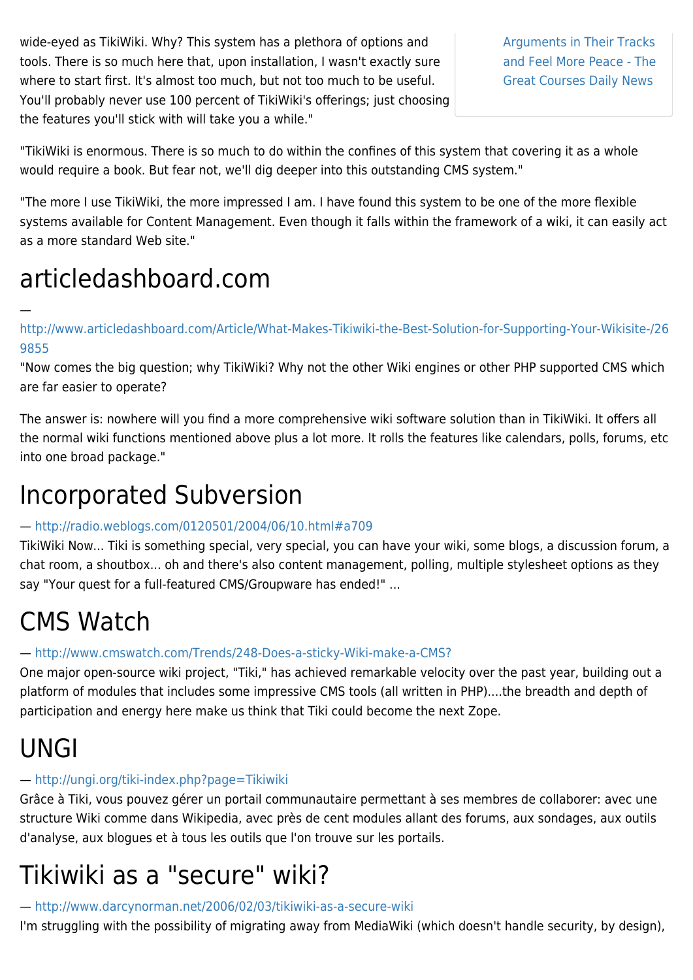wide-eyed as TikiWiki. Why? This system has a plethora of options and tools. There is so much here that, upon installation, I wasn't exactly sure where to start first. It's almost too much, but not too much to be useful. You'll probably never use 100 percent of TikiWiki's offerings; just choosing the features you'll stick with will take you a while."

[Arguments in Their Tracks](https://www.thegreatcoursesdaily.com/break-the-cycle-stop-arguments-in-their-tracks-and-feel-more-peace/) [and Feel More Peace - The](https://www.thegreatcoursesdaily.com/break-the-cycle-stop-arguments-in-their-tracks-and-feel-more-peace/) [Great Courses Daily News](https://www.thegreatcoursesdaily.com/break-the-cycle-stop-arguments-in-their-tracks-and-feel-more-peace/)

"TikiWiki is enormous. There is so much to do within the confines of this system that covering it as a whole would require a book. But fear not, we'll dig deeper into this outstanding CMS system."

"The more I use TikiWiki, the more impressed I am. I have found this system to be one of the more flexible systems available for Content Management. Even though it falls within the framework of a wiki, it can easily act as a more standard Web site."

### articledashboard.com

[http://www.articledashboard.com/Article/What-Makes-Tikiwiki-the-Best-Solution-for-Supporting-Your-Wikisite-/26](http://www.articledashboard.com/Article/What-Makes-Tikiwiki-the-Best-Solution-for-Supporting-Your-Wikisite-/269855) [9855](http://www.articledashboard.com/Article/What-Makes-Tikiwiki-the-Best-Solution-for-Supporting-Your-Wikisite-/269855)

"Now comes the big question; why TikiWiki? Why not the other Wiki engines or other PHP supported CMS which are far easier to operate?

The answer is: nowhere will you find a more comprehensive wiki software solution than in TikiWiki. It offers all the normal wiki functions mentioned above plus a lot more. It rolls the features like calendars, polls, forums, etc into one broad package."

### Incorporated Subversion

#### —<http://radio.weblogs.com/0120501/2004/06/10.html#a709>

TikiWiki Now... Tiki is something special, very special, you can have your wiki, some blogs, a discussion forum, a chat room, a shoutbox... oh and there's also content management, polling, multiple stylesheet options as they say "Your quest for a full-featured CMS/Groupware has ended!" ...

### CMS Watch

#### —<http://www.cmswatch.com/Trends/248-Does-a-sticky-Wiki-make-a-CMS?>

One major open-source wiki project, "Tiki," has achieved remarkable velocity over the past year, building out a platform of modules that includes some impressive CMS tools (all written in PHP)....the breadth and depth of participation and energy here make us think that Tiki could become the next Zope.

### UNGI

—

#### —<http://ungi.org/tiki-index.php?page=Tikiwiki>

Grâce à Tiki, vous pouvez gérer un portail communautaire permettant à ses membres de collaborer: avec une structure Wiki comme dans Wikipedia, avec près de cent modules allant des forums, aux sondages, aux outils d'analyse, aux blogues et à tous les outils que l'on trouve sur les portails.

### Tikiwiki as a "secure" wiki?

#### —<http://www.darcynorman.net/2006/02/03/tikiwiki-as-a-secure-wiki>

I'm struggling with the possibility of migrating away from MediaWiki (which doesn't handle security, by design),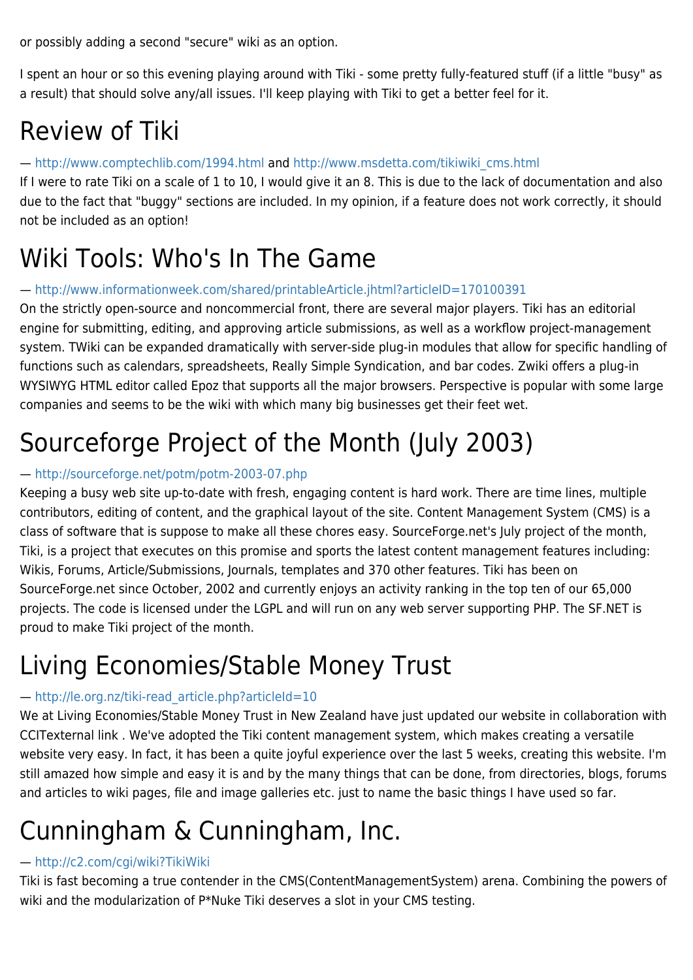or possibly adding a second "secure" wiki as an option.

I spent an hour or so this evening playing around with Tiki - some pretty fully-featured stuff (if a little "busy" as a result) that should solve any/all issues. I'll keep playing with Tiki to get a better feel for it.

### Review of Tiki

#### —<http://www.comptechlib.com/1994.html> and [http://www.msdetta.com/tikiwiki\\_cms.html](http://www.msdetta.com/tikiwiki_cms.html)

If I were to rate Tiki on a scale of 1 to 10, I would give it an 8. This is due to the lack of documentation and also due to the fact that "buggy" sections are included. In my opinion, if a feature does not work correctly, it should not be included as an option!

### Wiki Tools: Who's In The Game

#### —<http://www.informationweek.com/shared/printableArticle.jhtml?articleID=170100391>

On the strictly open-source and noncommercial front, there are several major players. Tiki has an editorial engine for submitting, editing, and approving article submissions, as well as a workflow project-management system. TWiki can be expanded dramatically with server-side plug-in modules that allow for specific handling of functions such as calendars, spreadsheets, Really Simple Syndication, and bar codes. Zwiki offers a plug-in WYSIWYG HTML editor called Epoz that supports all the major browsers. Perspective is popular with some large companies and seems to be the wiki with which many big businesses get their feet wet.

### Sourceforge Project of the Month (July 2003)

#### —<http://sourceforge.net/potm/potm-2003-07.php>

Keeping a busy web site up-to-date with fresh, engaging content is hard work. There are time lines, multiple contributors, editing of content, and the graphical layout of the site. Content Management System (CMS) is a class of software that is suppose to make all these chores easy. SourceForge.net's July project of the month, Tiki, is a project that executes on this promise and sports the latest content management features including: Wikis, Forums, Article/Submissions, Journals, templates and 370 other features. Tiki has been on SourceForge.net since October, 2002 and currently enjoys an activity ranking in the top ten of our 65,000 projects. The code is licensed under the LGPL and will run on any web server supporting PHP. The SF.NET is proud to make Tiki project of the month.

### Living Economies/Stable Money Trust

#### — [http://le.org.nz/tiki-read\\_article.php?articleId=10](http://le.org.nz/tiki-read_article.php?articleId=10)

We at Living Economies/Stable Money Trust in New Zealand have just updated our website in collaboration with CCITexternal link . We've adopted the Tiki content management system, which makes creating a versatile website very easy. In fact, it has been a quite joyful experience over the last 5 weeks, creating this website. I'm still amazed how simple and easy it is and by the many things that can be done, from directories, blogs, forums and articles to wiki pages, file and image galleries etc. just to name the basic things I have used so far.

### Cunningham & Cunningham, Inc.

#### —<http://c2.com/cgi/wiki?TikiWiki>

Tiki is fast becoming a true contender in the CMS(ContentManagementSystem) arena. Combining the powers of wiki and the modularization of P\*Nuke Tiki deserves a slot in your CMS testing.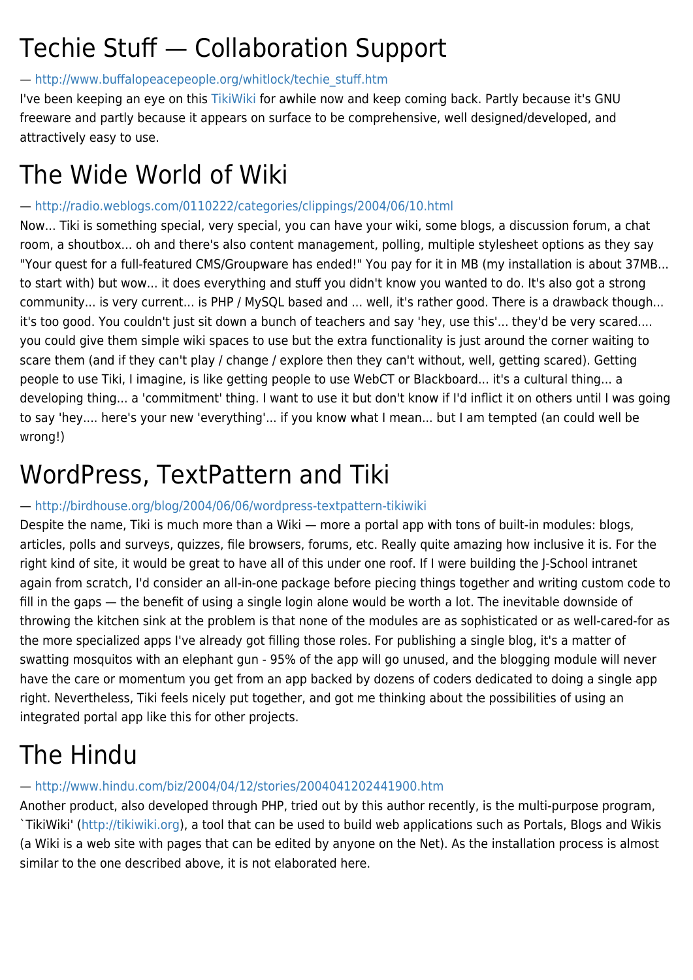### Techie Stuff — Collaboration Support

#### — [http://www.buffalopeacepeople.org/whitlock/techie\\_stuff.htm](http://www.buffalopeacepeople.org/whitlock/techie_stuff.htm)

I've been keeping an eye on this [TikiWiki](https://translation.tiki.org/TikiWiki) for awhile now and keep coming back. Partly because it's GNU freeware and partly because it appears on surface to be comprehensive, well designed/developed, and attractively easy to use.

### The Wide World of Wiki

#### —<http://radio.weblogs.com/0110222/categories/clippings/2004/06/10.html>

Now... Tiki is something special, very special, you can have your wiki, some blogs, a discussion forum, a chat room, a shoutbox... oh and there's also content management, polling, multiple stylesheet options as they say "Your quest for a full-featured CMS/Groupware has ended!" You pay for it in MB (my installation is about 37MB... to start with) but wow... it does everything and stuff you didn't know you wanted to do. It's also got a strong community... is very current... is PHP / MySQL based and ... well, it's rather good. There is a drawback though... it's too good. You couldn't just sit down a bunch of teachers and say 'hey, use this'... they'd be very scared.... you could give them simple wiki spaces to use but the extra functionality is just around the corner waiting to scare them (and if they can't play / change / explore then they can't without, well, getting scared). Getting people to use Tiki, I imagine, is like getting people to use WebCT or Blackboard... it's a cultural thing... a developing thing... a 'commitment' thing. I want to use it but don't know if I'd inflict it on others until I was going to say 'hey.... here's your new 'everything'... if you know what I mean... but I am tempted (an could well be wrong!)

### WordPress, TextPattern and Tiki

#### —<http://birdhouse.org/blog/2004/06/06/wordpress-textpattern-tikiwiki>

Despite the name, Tiki is much more than a Wiki — more a portal app with tons of built-in modules: blogs, articles, polls and surveys, quizzes, file browsers, forums, etc. Really quite amazing how inclusive it is. For the right kind of site, it would be great to have all of this under one roof. If I were building the J-School intranet again from scratch, I'd consider an all-in-one package before piecing things together and writing custom code to fill in the gaps — the benefit of using a single login alone would be worth a lot. The inevitable downside of throwing the kitchen sink at the problem is that none of the modules are as sophisticated or as well-cared-for as the more specialized apps I've already got filling those roles. For publishing a single blog, it's a matter of swatting mosquitos with an elephant gun - 95% of the app will go unused, and the blogging module will never have the care or momentum you get from an app backed by dozens of coders dedicated to doing a single app right. Nevertheless, Tiki feels nicely put together, and got me thinking about the possibilities of using an integrated portal app like this for other projects.

## The Hindu

#### —<http://www.hindu.com/biz/2004/04/12/stories/2004041202441900.htm>

Another product, also developed through PHP, tried out by this author recently, is the multi-purpose program, `TikiWiki' [\(http://tikiwiki.org](http://tikiwiki.org)), a tool that can be used to build web applications such as Portals, Blogs and Wikis (a Wiki is a web site with pages that can be edited by anyone on the Net). As the installation process is almost similar to the one described above, it is not elaborated here.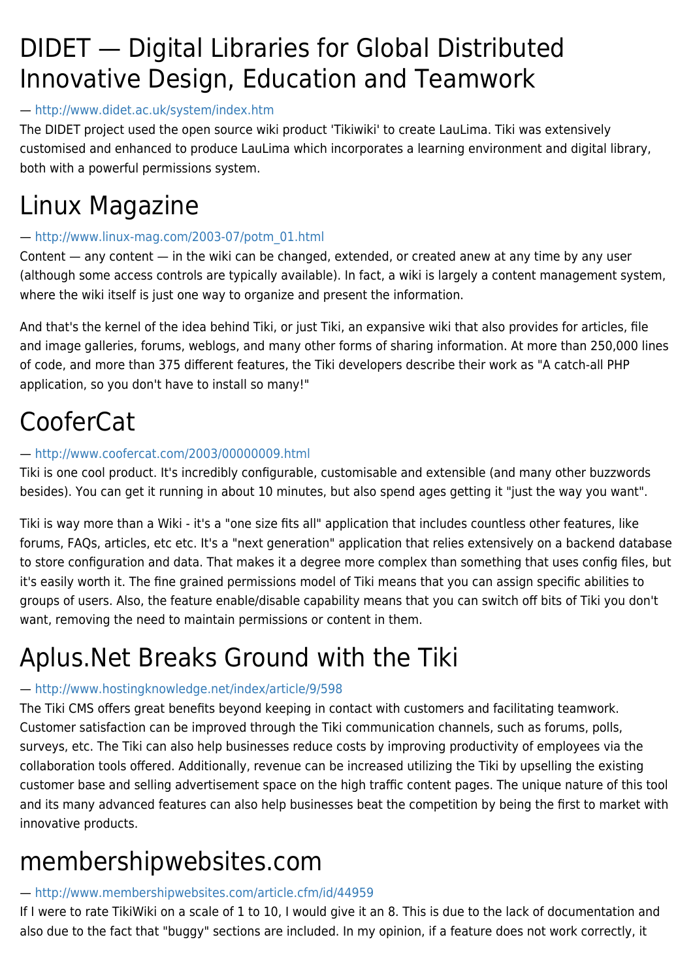### DIDET — Digital Libraries for Global Distributed Innovative Design, Education and Teamwork

#### —<http://www.didet.ac.uk/system/index.htm>

The DIDET project used the open source wiki product 'Tikiwiki' to create LauLima. Tiki was extensively customised and enhanced to produce LauLima which incorporates a learning environment and digital library, both with a powerful permissions system.

### Linux Magazine

#### — [http://www.linux-mag.com/2003-07/potm\\_01.html](http://www.linux-mag.com/2003-07/potm_01.html)

Content — any content — in the wiki can be changed, extended, or created anew at any time by any user (although some access controls are typically available). In fact, a wiki is largely a content management system, where the wiki itself is just one way to organize and present the information.

And that's the kernel of the idea behind Tiki, or just Tiki, an expansive wiki that also provides for articles, file and image galleries, forums, weblogs, and many other forms of sharing information. At more than 250,000 lines of code, and more than 375 different features, the Tiki developers describe their work as "A catch-all PHP application, so you don't have to install so many!"

### CooferCat

#### —<http://www.coofercat.com/2003/00000009.html>

Tiki is one cool product. It's incredibly configurable, customisable and extensible (and many other buzzwords besides). You can get it running in about 10 minutes, but also spend ages getting it "just the way you want".

Tiki is way more than a Wiki - it's a "one size fits all" application that includes countless other features, like forums, FAQs, articles, etc etc. It's a "next generation" application that relies extensively on a backend database to store configuration and data. That makes it a degree more complex than something that uses config files, but it's easily worth it. The fine grained permissions model of Tiki means that you can assign specific abilities to groups of users. Also, the feature enable/disable capability means that you can switch off bits of Tiki you don't want, removing the need to maintain permissions or content in them.

### Aplus.Net Breaks Ground with the Tiki

#### —<http://www.hostingknowledge.net/index/article/9/598>

The Tiki CMS offers great benefits beyond keeping in contact with customers and facilitating teamwork. Customer satisfaction can be improved through the Tiki communication channels, such as forums, polls, surveys, etc. The Tiki can also help businesses reduce costs by improving productivity of employees via the collaboration tools offered. Additionally, revenue can be increased utilizing the Tiki by upselling the existing customer base and selling advertisement space on the high traffic content pages. The unique nature of this tool and its many advanced features can also help businesses beat the competition by being the first to market with innovative products.

### membershipwebsites.com

#### —<http://www.membershipwebsites.com/article.cfm/id/44959>

If I were to rate TikiWiki on a scale of 1 to 10, I would give it an 8. This is due to the lack of documentation and also due to the fact that "buggy" sections are included. In my opinion, if a feature does not work correctly, it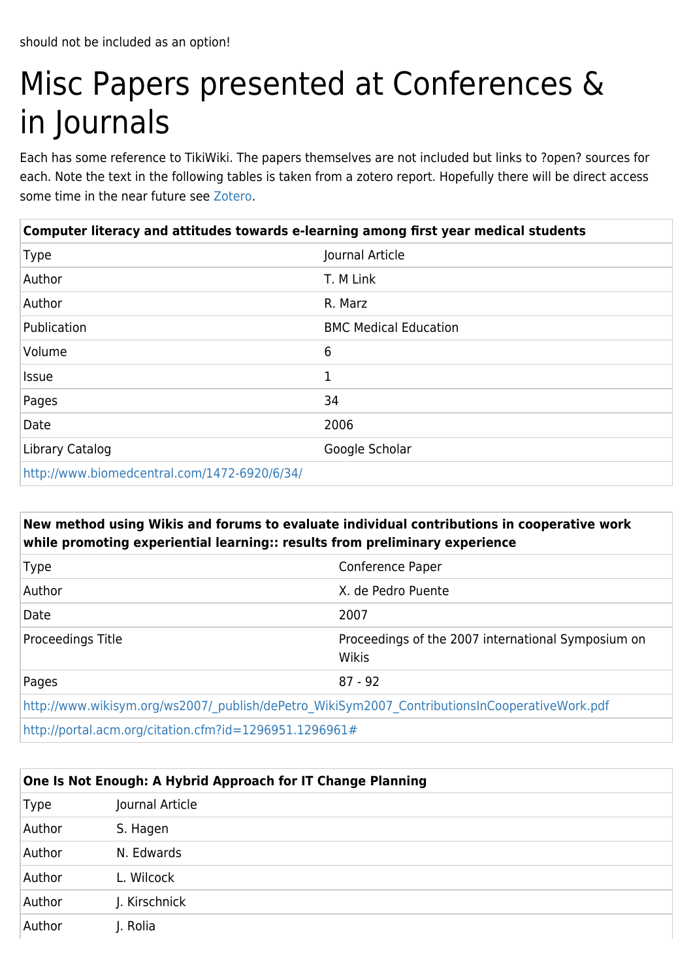# Misc Papers presented at Conferences & in Journals

Each has some reference to TikiWiki. The papers themselves are not included but links to ?open? sources for each. Note the text in the following tables is taken from a zotero report. Hopefully there will be direct access some time in the near future see [Zotero.](http://dev.tiki.org/Zotero)

| Computer literacy and attitudes towards e-learning among first year medical students |                              |
|--------------------------------------------------------------------------------------|------------------------------|
| <b>Type</b>                                                                          | Journal Article              |
| Author                                                                               | T. M Link                    |
| Author                                                                               | R. Marz                      |
| Publication                                                                          | <b>BMC Medical Education</b> |
| Volume                                                                               | 6                            |
| <b>Issue</b>                                                                         | 1                            |
| Pages                                                                                | 34                           |
| Date                                                                                 | 2006                         |
| Library Catalog                                                                      | Google Scholar               |
| http://www.biomedcentral.com/1472-6920/6/34/                                         |                              |

#### **New method using Wikis and forums to evaluate individual contributions in cooperative work while promoting experiential learning:: results from preliminary experience**

| <b>Type</b>                                                                                  | Conference Paper                                                   |
|----------------------------------------------------------------------------------------------|--------------------------------------------------------------------|
| Author                                                                                       | X. de Pedro Puente                                                 |
| Date                                                                                         | 2007                                                               |
| Proceedings Title                                                                            | Proceedings of the 2007 international Symposium on<br><b>Wikis</b> |
| Pages                                                                                        | $87 - 92$                                                          |
| http://www.wikisym.org/ws2007/publish/dePetro WikiSym2007 ContributionsInCooperativeWork.pdf |                                                                    |
| http://portal.acm.org/citation.cfm?id=1296951.1296961#                                       |                                                                    |

| One Is Not Enough: A Hybrid Approach for IT Change Planning |                 |
|-------------------------------------------------------------|-----------------|
| <b>Type</b>                                                 | Journal Article |
| Author                                                      | S. Hagen        |
| Author                                                      | N. Edwards      |
| Author                                                      | L. Wilcock      |
| Author                                                      | J. Kirschnick   |
| Author                                                      | J. Rolia        |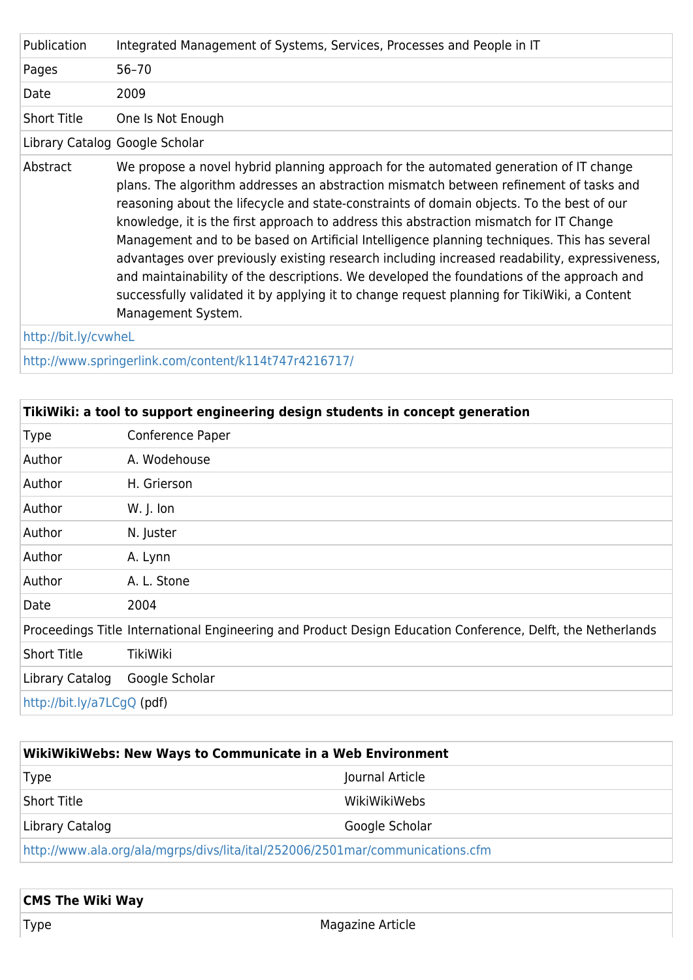| Publication          | Integrated Management of Systems, Services, Processes and People in IT                                                                                                                                                                                                                                                                                                                                                                                                                                                                                                                                                                                                                                                                                                                   |
|----------------------|------------------------------------------------------------------------------------------------------------------------------------------------------------------------------------------------------------------------------------------------------------------------------------------------------------------------------------------------------------------------------------------------------------------------------------------------------------------------------------------------------------------------------------------------------------------------------------------------------------------------------------------------------------------------------------------------------------------------------------------------------------------------------------------|
| Pages                | $56 - 70$                                                                                                                                                                                                                                                                                                                                                                                                                                                                                                                                                                                                                                                                                                                                                                                |
| Date                 | 2009                                                                                                                                                                                                                                                                                                                                                                                                                                                                                                                                                                                                                                                                                                                                                                                     |
| <b>Short Title</b>   | One Is Not Enough                                                                                                                                                                                                                                                                                                                                                                                                                                                                                                                                                                                                                                                                                                                                                                        |
|                      | Library Catalog Google Scholar                                                                                                                                                                                                                                                                                                                                                                                                                                                                                                                                                                                                                                                                                                                                                           |
| Abstract             | We propose a novel hybrid planning approach for the automated generation of IT change<br>plans. The algorithm addresses an abstraction mismatch between refinement of tasks and<br>reasoning about the lifecycle and state-constraints of domain objects. To the best of our<br>knowledge, it is the first approach to address this abstraction mismatch for IT Change<br>Management and to be based on Artificial Intelligence planning techniques. This has several<br>advantages over previously existing research including increased readability, expressiveness,<br>and maintainability of the descriptions. We developed the foundations of the approach and<br>successfully validated it by applying it to change request planning for TikiWiki, a Content<br>Management System. |
| http://bit.ly/cvwheL |                                                                                                                                                                                                                                                                                                                                                                                                                                                                                                                                                                                                                                                                                                                                                                                          |

<http://www.springerlink.com/content/k114t747r4216717/>

|                            | TikiWiki: a tool to support engineering design students in concept generation                               |
|----------------------------|-------------------------------------------------------------------------------------------------------------|
| <b>Type</b>                | Conference Paper                                                                                            |
| Author                     | A. Wodehouse                                                                                                |
| Author                     | H. Grierson                                                                                                 |
| Author                     | $W.$ J. Ion                                                                                                 |
| Author                     | N. Juster                                                                                                   |
| Author                     | A. Lynn                                                                                                     |
| Author                     | A. L. Stone                                                                                                 |
| Date                       | 2004                                                                                                        |
|                            | Proceedings Title International Engineering and Product Design Education Conference, Delft, the Netherlands |
| <b>Short Title</b>         | TikiWiki                                                                                                    |
| Library Catalog            | Google Scholar                                                                                              |
| http://bit.ly/a7LCgQ (pdf) |                                                                                                             |

| WikiWikiWebs: New Ways to Communicate in a Web Environment                    |                 |
|-------------------------------------------------------------------------------|-----------------|
| <b>Type</b>                                                                   | Journal Article |
| Short Title                                                                   | WikiWikiWebs    |
| Library Catalog                                                               | Google Scholar  |
| http://www.ala.org/ala/mgrps/divs/lita/ital/252006/2501mar/communications.cfm |                 |

| <b>CMS The Wiki Way</b> |                  |
|-------------------------|------------------|
| Type                    | Magazine Article |